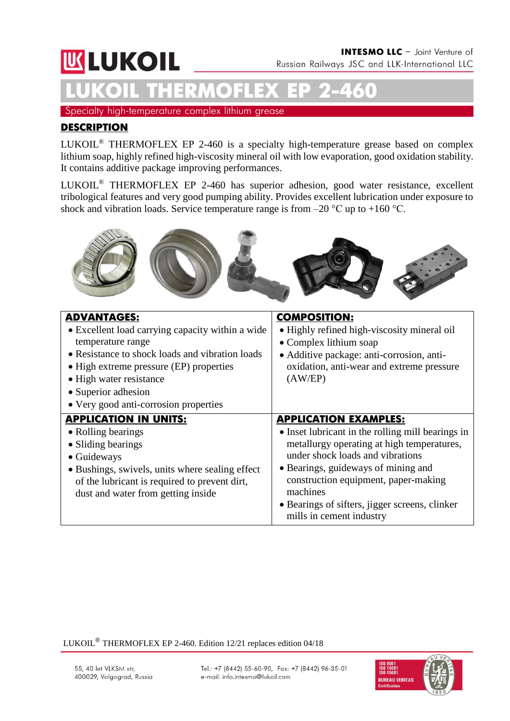# **WLUKOIL**

**LUKOIL THERMOFLEX ЕР 2-460** Specialty high-temperature complex lithium grease

### **DESCRIPTION**

LUKOIL® THERMOFLEX ЕР 2-460 is a specialty high-temperature grease based on complex lithium soap, highly refined high-viscosity mineral oil with low evaporation, good oxidation stability. It contains additive package improving performances.

LUKOIL® THERMOFLEX ЕР 2-460 has superior adhesion, good water resistance, excellent tribological features and very good pumping ability. Provides excellent lubrication under exposure to shock and vibration loads. Service temperature range is from  $-20$  °C up to  $+160$  °C.



| <b>ADVANTAGES:</b><br>• Excellent load carrying capacity within a wide<br>temperature range<br>• Resistance to shock loads and vibration loads<br>• High extreme pressure (EP) properties<br>• High water resistance<br>• Superior adhesion<br>• Very good anti-corrosion properties | <b>COMPOSITION:</b><br>• Highly refined high-viscosity mineral oil<br>• Complex lithium soap<br>• Additive package: anti-corrosion, anti-<br>oxidation, anti-wear and extreme pressure<br>(AW/EP)                                                                                                                                            |
|--------------------------------------------------------------------------------------------------------------------------------------------------------------------------------------------------------------------------------------------------------------------------------------|----------------------------------------------------------------------------------------------------------------------------------------------------------------------------------------------------------------------------------------------------------------------------------------------------------------------------------------------|
| <b>APPLICATION IN UNITS:</b><br>• Rolling bearings<br>• Sliding bearings<br>• Guideways<br>• Bushings, swivels, units where sealing effect<br>of the lubricant is required to prevent dirt,<br>dust and water from getting inside                                                    | <b>APPLICATION EXAMPLES:</b><br>• Inset lubricant in the rolling mill bearings in<br>metallurgy operating at high temperatures,<br>under shock loads and vibrations<br>• Bearings, guideways of mining and<br>construction equipment, paper-making<br>machines<br>• Bearings of sifters, jigger screens, clinker<br>mills in cement industry |

LUKOIL® THERMOFLEX EP 2-460. Edition 12/21 replaces edition 04/18